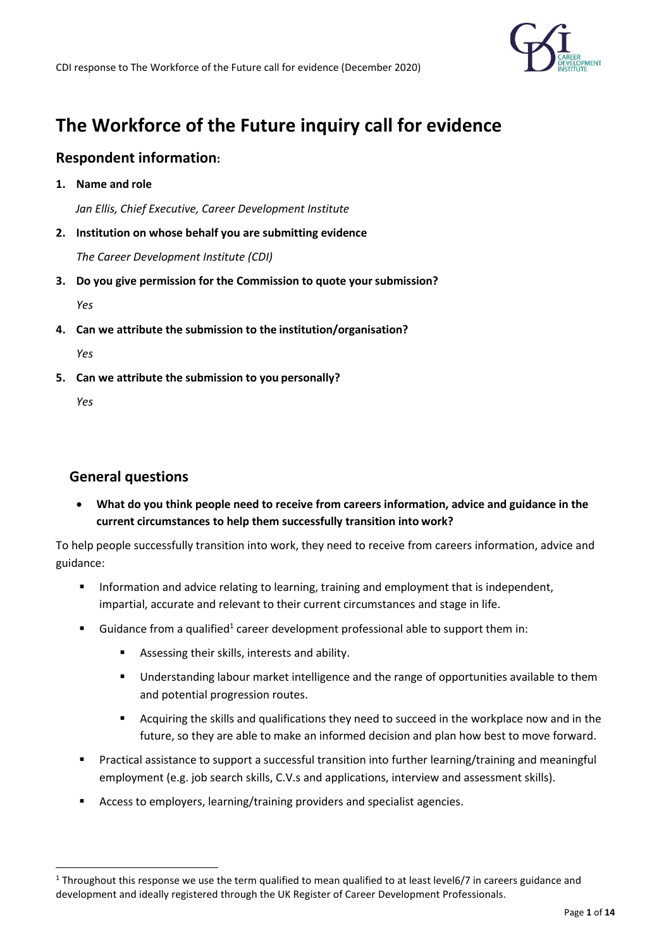

# **The Workforce of the Future inquiry call for evidence**

### **Respondent information:**

**1. Name and role**

 *Jan Ellis, Chief Executive, Career Development Institute*

**2. Institution on whose behalf you are submitting evidence**

*The Career Development Institute (CDI)*

**3. Do you give permission for the Commission to quote yoursubmission?**

*Yes*

**4. Can we attribute the submission to the institution/organisation?**

*Yes*

**5. Can we attribute the submission to you personally?**

*Yes*

### **General questions**

• **What do you think people need to receive from careers information, advice and guidance in the current circumstances to help them successfully transition into work?**

To help people successfully transition into work, they need to receive from careers information, advice and guidance:

- Information and advice relating to learning, training and employment that is independent, impartial, accurate and relevant to their current circumstances and stage in life.
- **E** Guidance from a qualified<sup>1</sup> career development professional able to support them in:
	- Assessing their skills, interests and ability.
	- Understanding labour market intelligence and the range of opportunities available to them and potential progression routes.
	- Acquiring the skills and qualifications they need to succeed in the workplace now and in the future, so they are able to make an informed decision and plan how best to move forward.
- Practical assistance to support a successful transition into further learning/training and meaningful employment (e.g. job search skills, C.V.s and applications, interview and assessment skills).
- Access to employers, learning/training providers and specialist agencies.

 $1$  Throughout this response we use the term qualified to mean qualified to at least level6/7 in careers guidance and development and ideally registered through the UK Register of Career Development Professionals.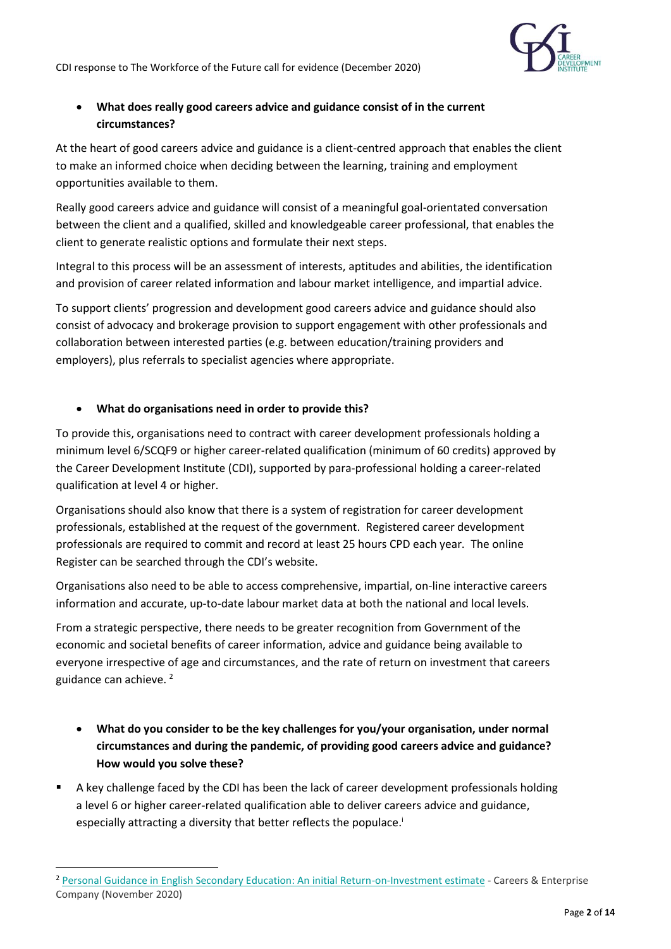CDI response to The Workforce of the Future call for evidence (December 2020)



### • **What does really good careers advice and guidance consist of in the current circumstances?**

At the heart of good careers advice and guidance is a client-centred approach that enables the client to make an informed choice when deciding between the learning, training and employment opportunities available to them.

Really good careers advice and guidance will consist of a meaningful goal-orientated conversation between the client and a qualified, skilled and knowledgeable career professional, that enables the client to generate realistic options and formulate their next steps.

Integral to this process will be an assessment of interests, aptitudes and abilities, the identification and provision of career related information and labour market intelligence, and impartial advice.

To support clients' progression and development good careers advice and guidance should also consist of advocacy and brokerage provision to support engagement with other professionals and collaboration between interested parties (e.g. between education/training providers and employers), plus referrals to specialist agencies where appropriate.

### • **What do organisations need in order to provide this?**

To provide this, organisations need to contract with career development professionals holding a minimum level 6/SCQF9 or higher career-related qualification (minimum of 60 credits) approved by the Career Development Institute (CDI), supported by para-professional holding a career-related qualification at level 4 or higher.

Organisations should also know that there is a system of registration for career development professionals, established at the request of the government. Registered career development professionals are required to commit and record at least 25 hours CPD each year. The online Register can be searched through the CDI's website.

Organisations also need to be able to access comprehensive, impartial, on-line interactive careers information and accurate, up-to-date labour market data at both the national and local levels.

From a strategic perspective, there needs to be greater recognition from Government of the economic and societal benefits of career information, advice and guidance being available to everyone irrespective of age and circumstances, and the rate of return on investment that careers guidance can achieve.<sup>2</sup>

- **What do you consider to be the key challenges for you/your organisation, under normal circumstances and during the pandemic, of providing good careers advice and guidance? How would you solve these?**
- A key challenge faced by the CDI has been the lack of career development professionals holding a level 6 or higher career-related qualification able to deliver careers advice and guidance, especially attracting a diversity that better reflects the populace.<sup>1</sup>

<sup>2</sup> [Personal Guidance in English Secondary Education: An initial Return-on-Investment estimate](https://www.thecdi.net/write/partial_roi_estimation_for_personal_guidance_-_chris_percy_2020_vpublic.pdf) - Careers & Enterprise Company (November 2020)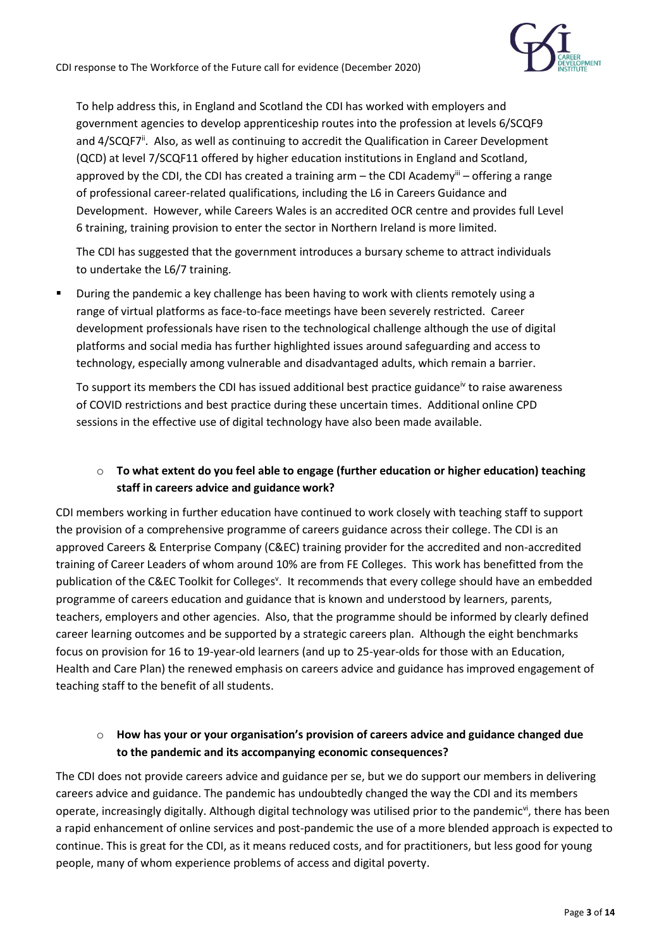

To help address this, in England and Scotland the CDI has worked with employers and government agencies to develop apprenticeship routes into the profession at levels 6/SCQF9 and 4/SCQF7<sup>ii</sup>. Also, as well as continuing to accredit the Qualification in Career Development (QCD) at level 7/SCQF11 offered by higher education institutions in England and Scotland, approved by the CDI, the CDI has created a training arm – the CDI Academy $^{\text{iii}}$  – offering a range of professional career-related qualifications, including the L6 in Careers Guidance and Development. However, while Careers Wales is an accredited OCR centre and provides full Level 6 training, training provision to enter the sector in Northern Ireland is more limited.

The CDI has suggested that the government introduces a bursary scheme to attract individuals to undertake the L6/7 training.

**■** During the pandemic a key challenge has been having to work with clients remotely using a range of virtual platforms as face-to-face meetings have been severely restricted. Career development professionals have risen to the technological challenge although the use of digital platforms and social media has further highlighted issues around safeguarding and access to technology, especially among vulnerable and disadvantaged adults, which remain a barrier.

To support its members the CDI has issued additional best practice guidance<sup>iv</sup> to raise awareness of COVID restrictions and best practice during these uncertain times. Additional online CPD sessions in the effective use of digital technology have also been made available.

### o **To what extent do you feel able to engage (further education or higher education) teaching staff in careers advice and guidance work?**

CDI members working in further education have continued to work closely with teaching staff to support the provision of a comprehensive programme of careers guidance across their college. The CDI is an approved Careers & Enterprise Company (C&EC) training provider for the accredited and non-accredited training of Career Leaders of whom around 10% are from FE Colleges. This work has benefitted from the publication of the C&EC Toolkit for Colleges<sup>v</sup>. It recommends that every college should have an embedded programme of careers education and guidance that is known and understood by learners, parents, teachers, employers and other agencies. Also, that the programme should be informed by clearly defined career learning outcomes and be supported by a strategic careers plan. Although the eight benchmarks focus on provision for 16 to 19-year-old learners (and up to 25-year-olds for those with an Education, Health and Care Plan) the renewed emphasis on careers advice and guidance has improved engagement of teaching staff to the benefit of all students.

### o **How has your or your organisation's provision of careers advice and guidance changed due to the pandemic and its accompanying economic consequences?**

The CDI does not provide careers advice and guidance per se, but we do support our members in delivering careers advice and guidance. The pandemic has undoubtedly changed the way the CDI and its members operate, increasingly digitally. Although digital technology was utilised prior to the pandemic<sup>vi</sup>, there has been a rapid enhancement of online services and post-pandemic the use of a more blended approach is expected to continue. This is great for the CDI, as it means reduced costs, and for practitioners, but less good for young people, many of whom experience problems of access and digital poverty.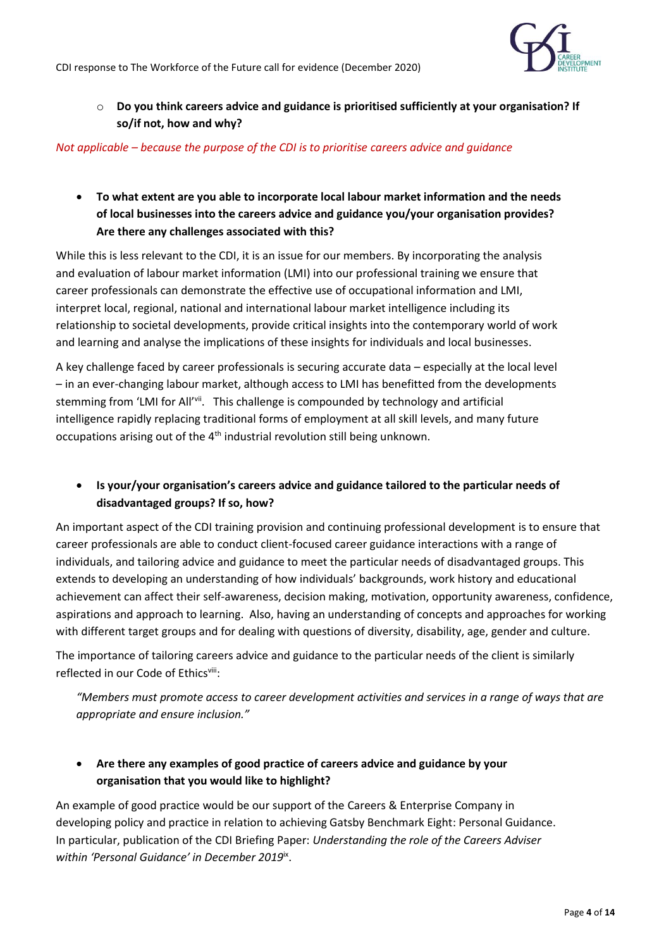

o **Do you think careers advice and guidance is prioritised sufficiently at your organisation? If so/if not, how and why?**

*Not applicable – because the purpose of the CDI is to prioritise careers advice and guidance*

• **To what extent are you able to incorporate local labour market information and the needs of local businesses into the careers advice and guidance you/your organisation provides? Are there any challenges associated with this?**

While this is less relevant to the CDI, it is an issue for our members. By incorporating the analysis and evaluation of labour market information (LMI) into our professional training we ensure that career professionals can demonstrate the effective use of occupational information and LMI, interpret local, regional, national and international labour market intelligence including its relationship to societal developments, provide critical insights into the contemporary world of work and learning and analyse the implications of these insights for individuals and local businesses.

A key challenge faced by career professionals is securing accurate data – especially at the local level – in an ever-changing labour market, although access to LMI has benefitted from the developments stemming from 'LMI for All'<sup>vii</sup>. This challenge is compounded by technology and artificial intelligence rapidly replacing traditional forms of employment at all skill levels, and many future occupations arising out of the 4<sup>th</sup> industrial revolution still being unknown.

• **Is your/your organisation's careers advice and guidance tailored to the particular needs of disadvantaged groups? If so, how?**

An important aspect of the CDI training provision and continuing professional development is to ensure that career professionals are able to conduct client-focused career guidance interactions with a range of individuals, and tailoring advice and guidance to meet the particular needs of disadvantaged groups. This extends to developing an understanding of how individuals' backgrounds, work history and educational achievement can affect their self-awareness, decision making, motivation, opportunity awareness, confidence, aspirations and approach to learning. Also, having an understanding of concepts and approaches for working with different target groups and for dealing with questions of diversity, disability, age, gender and culture.

The importance of tailoring careers advice and guidance to the particular needs of the client is similarly reflected in our Code of Ethicsvill:

*"Members must promote access to career development activities and services in a range of ways that are appropriate and ensure inclusion."*

### • **Are there any examples of good practice of careers advice and guidance by your organisation that you would like to highlight?**

An example of good practice would be our support of the Careers & Enterprise Company in developing policy and practice in relation to achieving Gatsby Benchmark Eight: Personal Guidance. In particular, publication of the CDI Briefing Paper: *Understanding the role of the Careers Adviser within 'Personal Guidance' in December 2019*ix .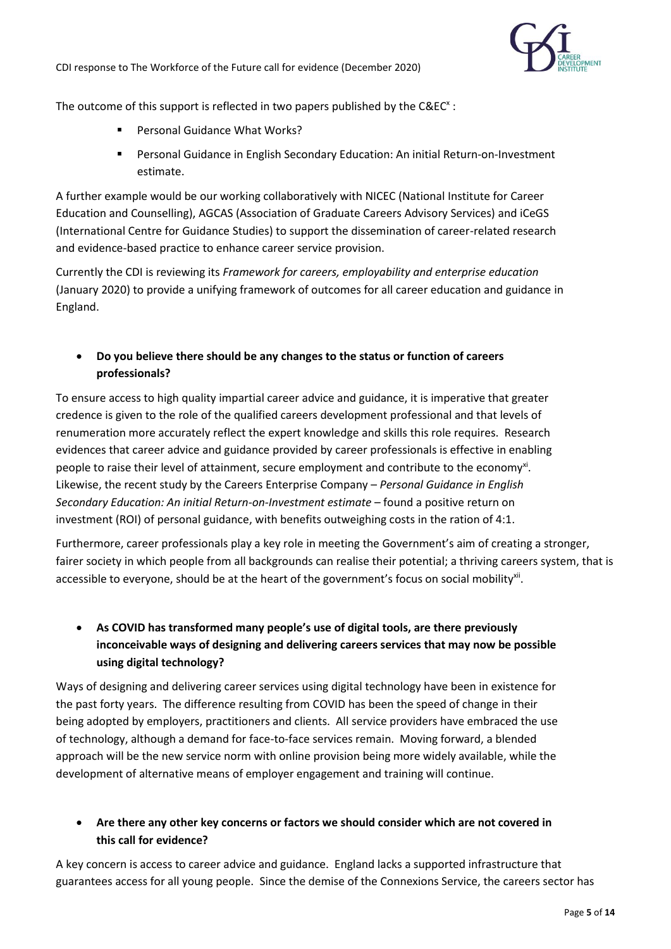

The outcome of this support is reflected in two papers published by the  $C\&C^{\times}$ :

- Personal Guidance What Works?
- Personal Guidance in English Secondary Education: An initial Return-on-Investment estimate.

A further example would be our working collaboratively with NICEC (National Institute for Career Education and Counselling), AGCAS (Association of Graduate Careers Advisory Services) and iCeGS (International Centre for Guidance Studies) to support the dissemination of career-related research and evidence-based practice to enhance career service provision.

Currently the CDI is reviewing its *Framework for careers, employability and enterprise education* (January 2020) to provide a unifying framework of outcomes for all career education and guidance in England.

• **Do you believe there should be any changes to the status or function of careers professionals?**

To ensure access to high quality impartial career advice and guidance, it is imperative that greater credence is given to the role of the qualified careers development professional and that levels of renumeration more accurately reflect the expert knowledge and skills this role requires. Research evidences that career advice and guidance provided by career professionals is effective in enabling people to raise their level of attainment, secure employment and contribute to the economy<sup>xi</sup>. Likewise, the recent study by the Careers Enterprise Company – *Personal Guidance in English Secondary Education: An initial Return-on-Investment estimate* – found a positive return on investment (ROI) of personal guidance, with benefits outweighing costs in the ration of 4:1.

Furthermore, career professionals play a key role in meeting the Government's aim of creating a stronger, fairer society in which people from all backgrounds can realise their potential; a thriving careers system, that is accessible to everyone, should be at the heart of the government's focus on social mobility<sup>xii</sup>.

## • **As COVID has transformed many people's use of digital tools, are there previously inconceivable ways of designing and delivering careers services that may now be possible using digital technology?**

Ways of designing and delivering career services using digital technology have been in existence for the past forty years. The difference resulting from COVID has been the speed of change in their being adopted by employers, practitioners and clients. All service providers have embraced the use of technology, although a demand for face-to-face services remain. Moving forward, a blended approach will be the new service norm with online provision being more widely available, while the development of alternative means of employer engagement and training will continue.

### • **Are there any other key concerns or factors we should consider which are not covered in this call for evidence?**

A key concern is access to career advice and guidance. England lacks a supported infrastructure that guarantees access for all young people. Since the demise of the Connexions Service, the careers sector has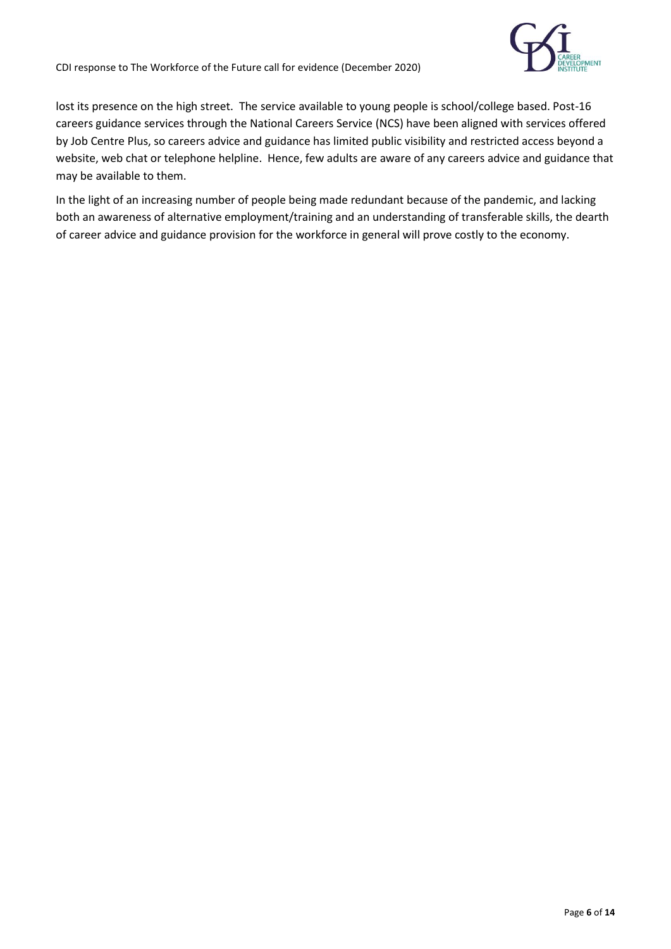

lost its presence on the high street. The service available to young people is school/college based. Post-16 careers guidance services through the National Careers Service (NCS) have been aligned with services offered by Job Centre Plus, so careers advice and guidance has limited public visibility and restricted access beyond a website, web chat or telephone helpline. Hence, few adults are aware of any careers advice and guidance that may be available to them.

In the light of an increasing number of people being made redundant because of the pandemic, and lacking both an awareness of alternative employment/training and an understanding of transferable skills, the dearth of career advice and guidance provision for the workforce in general will prove costly to the economy.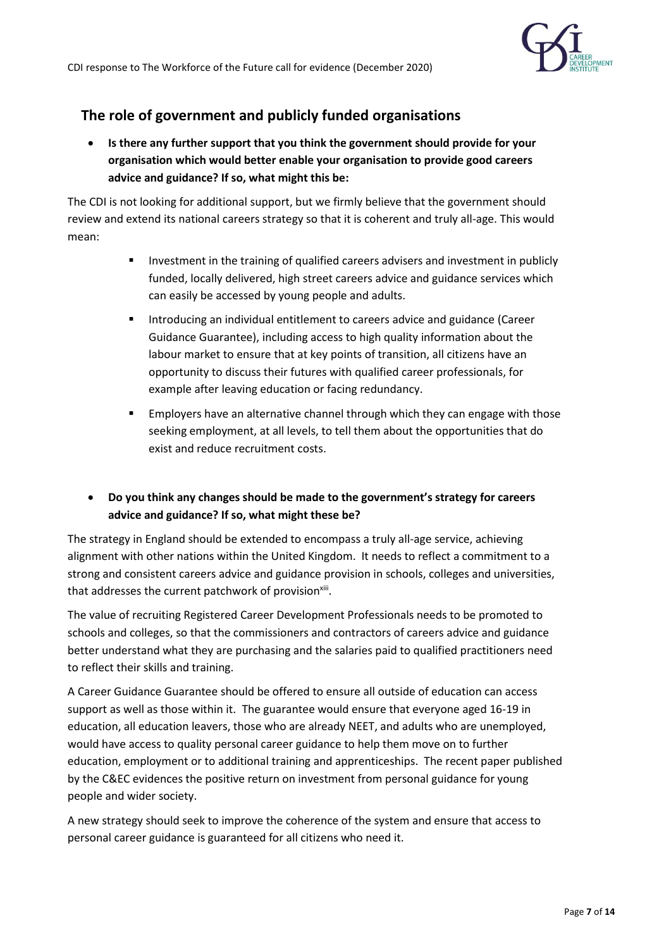

# **The role of government and publicly funded organisations**

• **Is there any further support that you think the government should provide for your organisation which would better enable your organisation to provide good careers advice and guidance? If so, what might this be:**

The CDI is not looking for additional support, but we firmly believe that the government should review and extend its national careers strategy so that it is coherent and truly all-age. This would mean:

- **EXED** Investment in the training of qualified careers advisers and investment in publicly funded, locally delivered, high street careers advice and guidance services which can easily be accessed by young people and adults.
- Introducing an individual entitlement to careers advice and guidance (Career Guidance Guarantee), including access to high quality information about the labour market to ensure that at key points of transition, all citizens have an opportunity to discuss their futures with qualified career professionals, for example after leaving education or facing redundancy.
- **Employers have an alternative channel through which they can engage with those** seeking employment, at all levels, to tell them about the opportunities that do exist and reduce recruitment costs.
- **Do you think any changes should be made to the government's strategy for careers advice and guidance? If so, what might these be?**

The strategy in England should be extended to encompass a truly all-age service, achieving alignment with other nations within the United Kingdom. It needs to reflect a commitment to a strong and consistent careers advice and guidance provision in schools, colleges and universities, that addresses the current patchwork of provision<sup>xiii</sup>.

The value of recruiting Registered Career Development Professionals needs to be promoted to schools and colleges, so that the commissioners and contractors of careers advice and guidance better understand what they are purchasing and the salaries paid to qualified practitioners need to reflect their skills and training.

A Career Guidance Guarantee should be offered to ensure all outside of education can access support as well as those within it. The guarantee would ensure that everyone aged 16-19 in education, all education leavers, those who are already NEET, and adults who are unemployed, would have access to quality personal career guidance to help them move on to further education, employment or to additional training and apprenticeships. The recent paper published by the C&EC evidences the positive return on investment from personal guidance for young people and wider society.

A new strategy should seek to improve the coherence of the system and ensure that access to personal career guidance is guaranteed for all citizens who need it.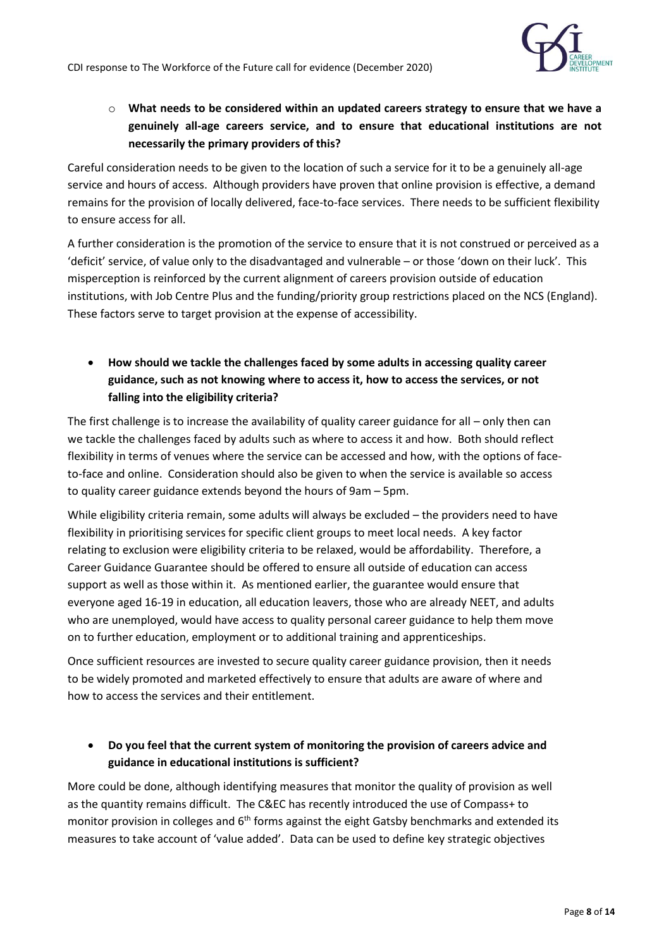

### o **What needs to be considered within an updated careers strategy to ensure that we have a genuinely all-age careers service, and to ensure that educational institutions are not necessarily the primary providers of this?**

Careful consideration needs to be given to the location of such a service for it to be a genuinely all-age service and hours of access. Although providers have proven that online provision is effective, a demand remains for the provision of locally delivered, face-to-face services. There needs to be sufficient flexibility to ensure access for all.

A further consideration is the promotion of the service to ensure that it is not construed or perceived as a 'deficit' service, of value only to the disadvantaged and vulnerable – or those 'down on their luck'. This misperception is reinforced by the current alignment of careers provision outside of education institutions, with Job Centre Plus and the funding/priority group restrictions placed on the NCS (England). These factors serve to target provision at the expense of accessibility.

• **How should we tackle the challenges faced by some adults in accessing quality career guidance, such as not knowing where to access it, how to access the services, or not falling into the eligibility criteria?**

The first challenge is to increase the availability of quality career guidance for all – only then can we tackle the challenges faced by adults such as where to access it and how. Both should reflect flexibility in terms of venues where the service can be accessed and how, with the options of faceto-face and online. Consideration should also be given to when the service is available so access to quality career guidance extends beyond the hours of 9am – 5pm.

While eligibility criteria remain, some adults will always be excluded – the providers need to have flexibility in prioritising services for specific client groups to meet local needs. A key factor relating to exclusion were eligibility criteria to be relaxed, would be affordability. Therefore, a Career Guidance Guarantee should be offered to ensure all outside of education can access support as well as those within it. As mentioned earlier, the guarantee would ensure that everyone aged 16-19 in education, all education leavers, those who are already NEET, and adults who are unemployed, would have access to quality personal career guidance to help them move on to further education, employment or to additional training and apprenticeships.

Once sufficient resources are invested to secure quality career guidance provision, then it needs to be widely promoted and marketed effectively to ensure that adults are aware of where and how to access the services and their entitlement.

### • **Do you feel that the current system of monitoring the provision of careers advice and guidance in educational institutions is sufficient?**

More could be done, although identifying measures that monitor the quality of provision as well as the quantity remains difficult. The C&EC has recently introduced the use of Compass+ to monitor provision in colleges and  $6<sup>th</sup>$  forms against the eight Gatsby benchmarks and extended its measures to take account of 'value added'. Data can be used to define key strategic objectives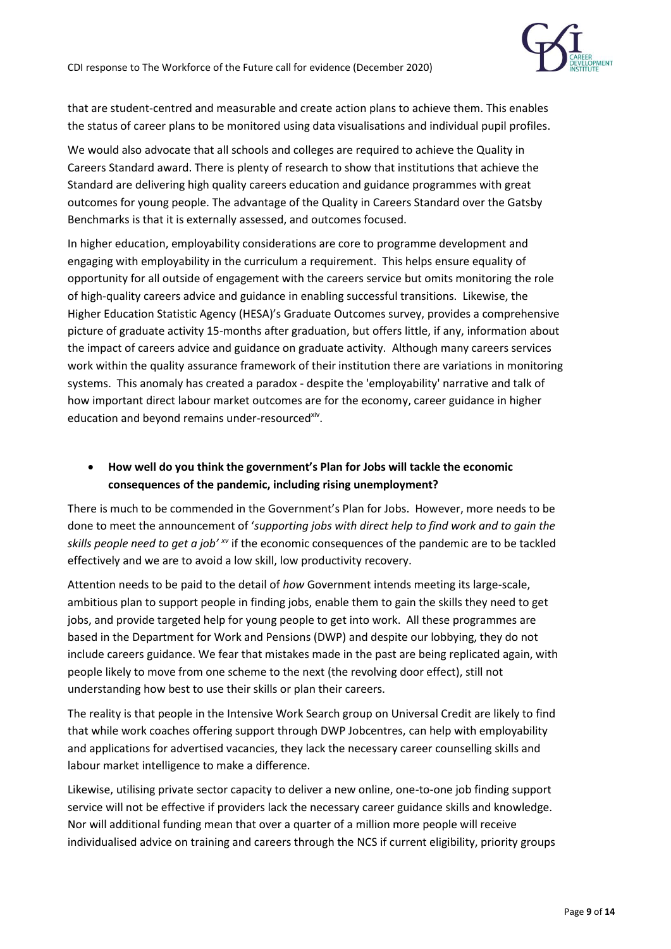

that are student-centred and measurable and create action plans to achieve them. This enables the status of career plans to be monitored using data visualisations and individual pupil profiles.

We would also advocate that all schools and colleges are required to achieve the Quality in Careers Standard award. There is plenty of research to show that institutions that achieve the Standard are delivering high quality careers education and guidance programmes with great outcomes for young people. The advantage of the Quality in Careers Standard over the Gatsby Benchmarks is that it is externally assessed, and outcomes focused.

In higher education, employability considerations are core to programme development and engaging with employability in the curriculum a requirement. This helps ensure equality of opportunity for all outside of engagement with the careers service but omits monitoring the role of high-quality careers advice and guidance in enabling successful transitions. Likewise, the Higher Education Statistic Agency (HESA)'s Graduate Outcomes survey, provides a comprehensive picture of graduate activity 15-months after graduation, but offers little, if any, information about the impact of careers advice and guidance on graduate activity. Although many careers services work within the quality assurance framework of their institution there are variations in monitoring systems. This anomaly has created a paradox - despite the 'employability' narrative and talk of how important direct labour market outcomes are for the economy, career guidance in higher education and beyond remains under-resourced<sup>xiv</sup>.

### • **How well do you think the government's Plan for Jobs will tackle the economic consequences of the pandemic, including rising unemployment?**

There is much to be commended in the Government's Plan for Jobs. However, more needs to be done to meet the announcement of '*supporting jobs with direct help to find work and to gain the skills people need to get a job' xv* if the economic consequences of the pandemic are to be tackled effectively and we are to avoid a low skill, low productivity recovery.

Attention needs to be paid to the detail of *how* Government intends meeting its large-scale, ambitious plan to support people in finding jobs, enable them to gain the skills they need to get jobs, and provide targeted help for young people to get into work. All these programmes are based in the Department for Work and Pensions (DWP) and despite our lobbying, they do not include careers guidance. We fear that mistakes made in the past are being replicated again, with people likely to move from one scheme to the next (the revolving door effect), still not understanding how best to use their skills or plan their careers.

The reality is that people in the Intensive Work Search group on Universal Credit are likely to find that while work coaches offering support through DWP Jobcentres, can help with employability and applications for advertised vacancies, they lack the necessary career counselling skills and labour market intelligence to make a difference.

Likewise, utilising private sector capacity to deliver a new online, one-to-one job finding support service will not be effective if providers lack the necessary career guidance skills and knowledge. Nor will additional funding mean that over a quarter of a million more people will receive individualised advice on training and careers through the NCS if current eligibility, priority groups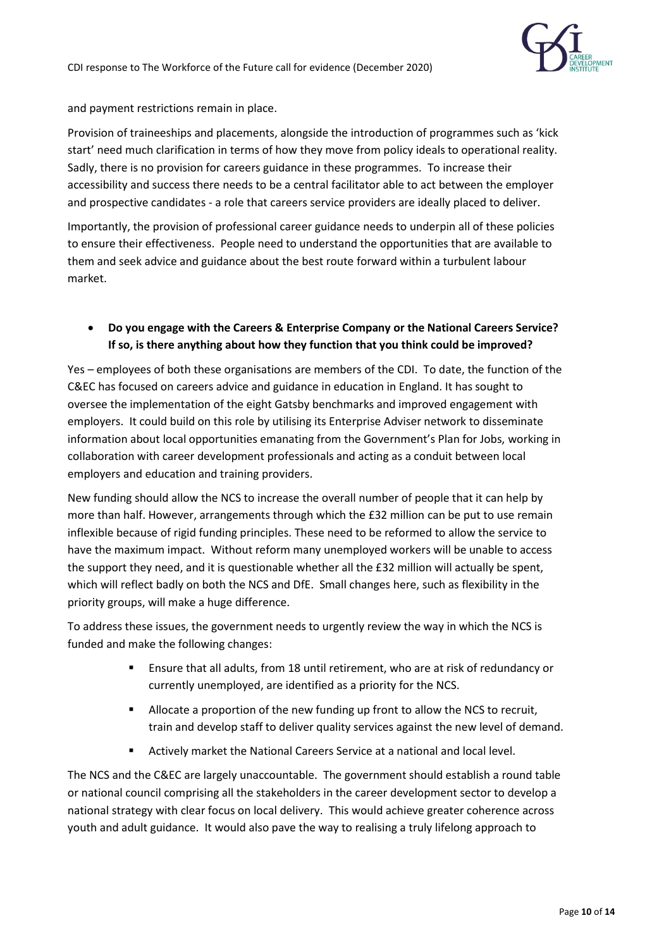

and payment restrictions remain in place.

Provision of traineeships and placements, alongside the introduction of programmes such as 'kick start' need much clarification in terms of how they move from policy ideals to operational reality. Sadly, there is no provision for careers guidance in these programmes. To increase their accessibility and success there needs to be a central facilitator able to act between the employer and prospective candidates - a role that careers service providers are ideally placed to deliver.

Importantly, the provision of professional career guidance needs to underpin all of these policies to ensure their effectiveness. People need to understand the opportunities that are available to them and seek advice and guidance about the best route forward within a turbulent labour market.

### • **Do you engage with the Careers & Enterprise Company or the National Careers Service? If so, is there anything about how they function that you think could be improved?**

Yes – employees of both these organisations are members of the CDI. To date, the function of the C&EC has focused on careers advice and guidance in education in England. It has sought to oversee the implementation of the eight Gatsby benchmarks and improved engagement with employers. It could build on this role by utilising its Enterprise Adviser network to disseminate information about local opportunities emanating from the Government's Plan for Jobs, working in collaboration with career development professionals and acting as a conduit between local employers and education and training providers.

New funding should allow the NCS to increase the overall number of people that it can help by more than half. However, arrangements through which the £32 million can be put to use remain inflexible because of rigid funding principles. These need to be reformed to allow the service to have the maximum impact. Without reform many unemployed workers will be unable to access the support they need, and it is questionable whether all the £32 million will actually be spent, which will reflect badly on both the NCS and DfE. Small changes here, such as flexibility in the priority groups, will make a huge difference.

To address these issues, the government needs to urgently review the way in which the NCS is funded and make the following changes:

- Ensure that all adults, from 18 until retirement, who are at risk of redundancy or currently unemployed, are identified as a priority for the NCS.
- Allocate a proportion of the new funding up front to allow the NCS to recruit, train and develop staff to deliver quality services against the new level of demand.
- Actively market the National Careers Service at a national and local level.

The NCS and the C&EC are largely unaccountable. The government should establish a round table or national council comprising all the stakeholders in the career development sector to develop a national strategy with clear focus on local delivery. This would achieve greater coherence across youth and adult guidance. It would also pave the way to realising a truly lifelong approach to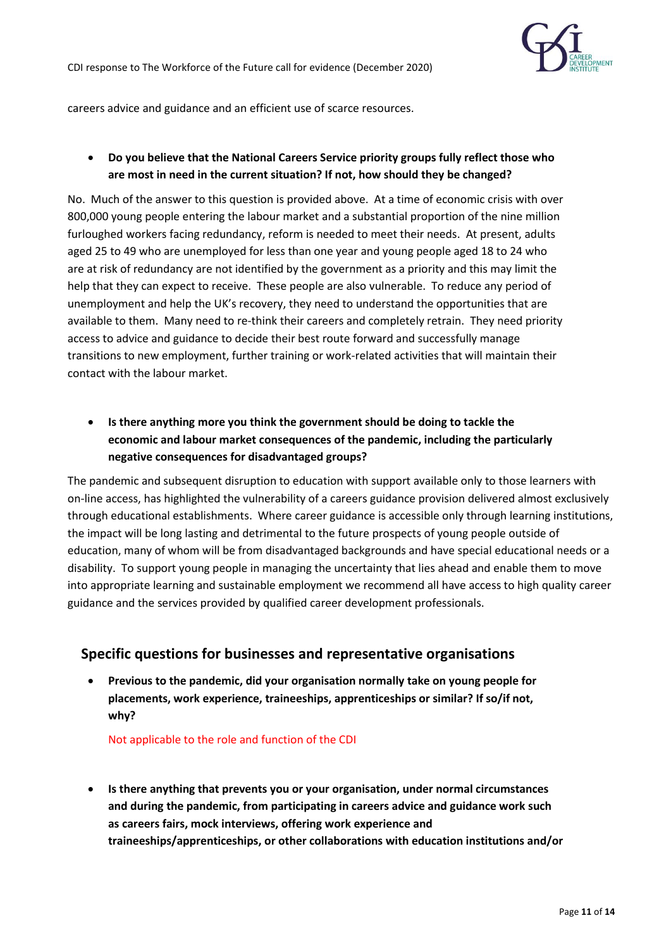

careers advice and guidance and an efficient use of scarce resources.

### • **Do you believe that the National Careers Service priority groups fully reflect those who are most in need in the current situation? If not, how should they be changed?**

No. Much of the answer to this question is provided above. At a time of economic crisis with over 800,000 young people entering the labour market and a substantial proportion of the nine million furloughed workers facing redundancy, reform is needed to meet their needs. At present, adults aged 25 to 49 who are unemployed for less than one year and young people aged 18 to 24 who are at risk of redundancy are not identified by the government as a priority and this may limit the help that they can expect to receive. These people are also vulnerable. To reduce any period of unemployment and help the UK's recovery, they need to understand the opportunities that are available to them. Many need to re-think their careers and completely retrain. They need priority access to advice and guidance to decide their best route forward and successfully manage transitions to new employment, further training or work-related activities that will maintain their contact with the labour market.

• **Is there anything more you think the government should be doing to tackle the economic and labour market consequences of the pandemic, including the particularly negative consequences for disadvantaged groups?**

The pandemic and subsequent disruption to education with support available only to those learners with on-line access, has highlighted the vulnerability of a careers guidance provision delivered almost exclusively through educational establishments. Where career guidance is accessible only through learning institutions, the impact will be long lasting and detrimental to the future prospects of young people outside of education, many of whom will be from disadvantaged backgrounds and have special educational needs or a disability. To support young people in managing the uncertainty that lies ahead and enable them to move into appropriate learning and sustainable employment we recommend all have access to high quality career guidance and the services provided by qualified career development professionals.

### **Specific questions for businesses and representative organisations**

• **Previous to the pandemic, did your organisation normally take on young people for placements, work experience, traineeships, apprenticeships or similar? If so/if not, why?**

Not applicable to the role and function of the CDI

• **Is there anything that prevents you or your organisation, under normal circumstances and during the pandemic, from participating in careers advice and guidance work such as careers fairs, mock interviews, offering work experience and traineeships/apprenticeships, or other collaborations with education institutions and/or**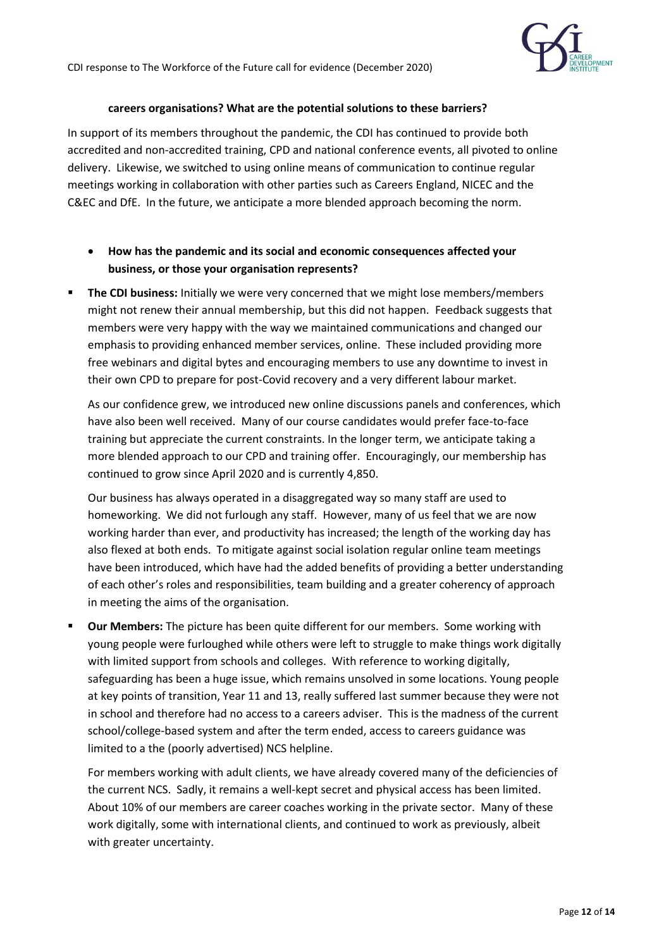

#### **careers organisations? What are the potential solutions to these barriers?**

In support of its members throughout the pandemic, the CDI has continued to provide both accredited and non-accredited training, CPD and national conference events, all pivoted to online delivery. Likewise, we switched to using online means of communication to continue regular meetings working in collaboration with other parties such as Careers England, NICEC and the C&EC and DfE. In the future, we anticipate a more blended approach becoming the norm.

- **How has the pandemic and its social and economic consequences affected your business, or those your organisation represents?**
- **. The CDI business:** Initially we were very concerned that we might lose members/members might not renew their annual membership, but this did not happen. Feedback suggests that members were very happy with the way we maintained communications and changed our emphasis to providing enhanced member services, online. These included providing more free webinars and digital bytes and encouraging members to use any downtime to invest in their own CPD to prepare for post-Covid recovery and a very different labour market.

As our confidence grew, we introduced new online discussions panels and conferences, which have also been well received. Many of our course candidates would prefer face-to-face training but appreciate the current constraints. In the longer term, we anticipate taking a more blended approach to our CPD and training offer. Encouragingly, our membership has continued to grow since April 2020 and is currently 4,850.

Our business has always operated in a disaggregated way so many staff are used to homeworking. We did not furlough any staff. However, many of us feel that we are now working harder than ever, and productivity has increased; the length of the working day has also flexed at both ends. To mitigate against social isolation regular online team meetings have been introduced, which have had the added benefits of providing a better understanding of each other's roles and responsibilities, team building and a greater coherency of approach in meeting the aims of the organisation.

▪ **Our Members:** The picture has been quite different for our members. Some working with young people were furloughed while others were left to struggle to make things work digitally with limited support from schools and colleges. With reference to working digitally, safeguarding has been a huge issue, which remains unsolved in some locations. Young people at key points of transition, Year 11 and 13, really suffered last summer because they were not in school and therefore had no access to a careers adviser. This is the madness of the current school/college-based system and after the term ended, access to careers guidance was limited to a the (poorly advertised) NCS helpline.

For members working with adult clients, we have already covered many of the deficiencies of the current NCS. Sadly, it remains a well-kept secret and physical access has been limited. About 10% of our members are career coaches working in the private sector. Many of these work digitally, some with international clients, and continued to work as previously, albeit with greater uncertainty.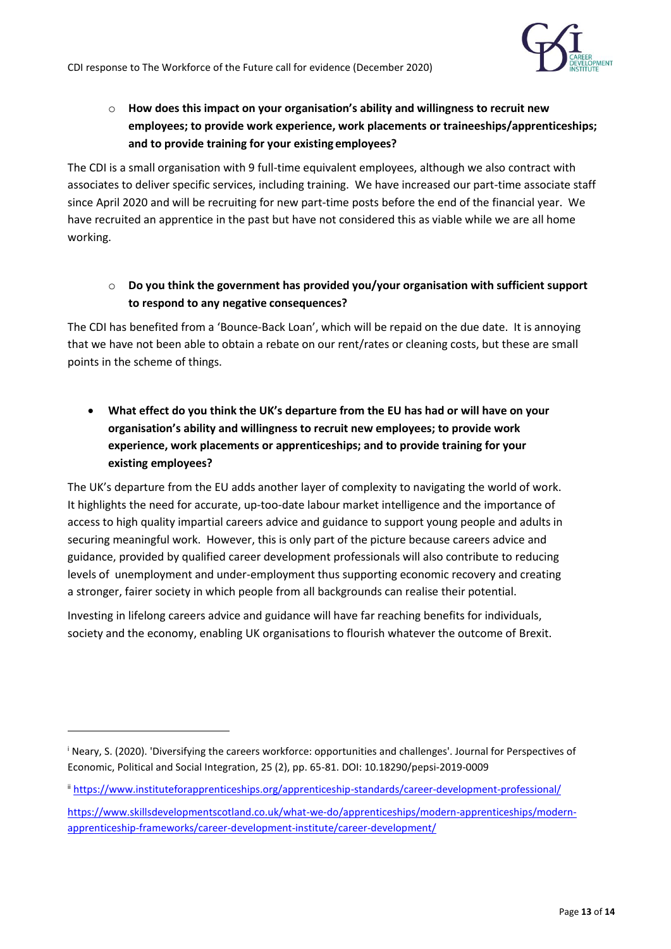

o **How does this impact on your organisation's ability and willingness to recruit new employees; to provide work experience, work placements or traineeships/apprenticeships; and to provide training for your existing employees?**

The CDI is a small organisation with 9 full-time equivalent employees, although we also contract with associates to deliver specific services, including training. We have increased our part-time associate staff since April 2020 and will be recruiting for new part-time posts before the end of the financial year. We have recruited an apprentice in the past but have not considered this as viable while we are all home working.

o **Do you think the government has provided you/your organisation with sufficient support to respond to any negative consequences?**

The CDI has benefited from a 'Bounce-Back Loan', which will be repaid on the due date. It is annoying that we have not been able to obtain a rebate on our rent/rates or cleaning costs, but these are small points in the scheme of things.

• **What effect do you think the UK's departure from the EU has had or will have on your organisation's ability and willingness to recruit new employees; to provide work experience, work placements or apprenticeships; and to provide training for your existing employees?**

The UK's departure from the EU adds another layer of complexity to navigating the world of work. It highlights the need for accurate, up-too-date labour market intelligence and the importance of access to high quality impartial careers advice and guidance to support young people and adults in securing meaningful work. However, this is only part of the picture because careers advice and guidance, provided by qualified career development professionals will also contribute to reducing levels of unemployment and under-employment thus supporting economic recovery and creating a stronger, fairer society in which people from all backgrounds can realise their potential.

Investing in lifelong careers advice and guidance will have far reaching benefits for individuals, society and the economy, enabling UK organisations to flourish whatever the outcome of Brexit.

<sup>&</sup>lt;sup>i</sup> Neary, S. (2020). 'Diversifying the careers workforce: opportunities and challenges'. Journal for Perspectives of Economic, Political and Social Integration, 25 (2), pp. 65-81. DOI: 10.18290/pepsi-2019-0009

ii <https://www.instituteforapprenticeships.org/apprenticeship-standards/career-development-professional/>

[https://www.skillsdevelopmentscotland.co.uk/what-we-do/apprenticeships/modern-apprenticeships/modern](https://www.skillsdevelopmentscotland.co.uk/what-we-do/apprenticeships/modern-apprenticeships/modern-apprenticeship-frameworks/career-development-institute/career-development/)[apprenticeship-frameworks/career-development-institute/career-development/](https://www.skillsdevelopmentscotland.co.uk/what-we-do/apprenticeships/modern-apprenticeships/modern-apprenticeship-frameworks/career-development-institute/career-development/)